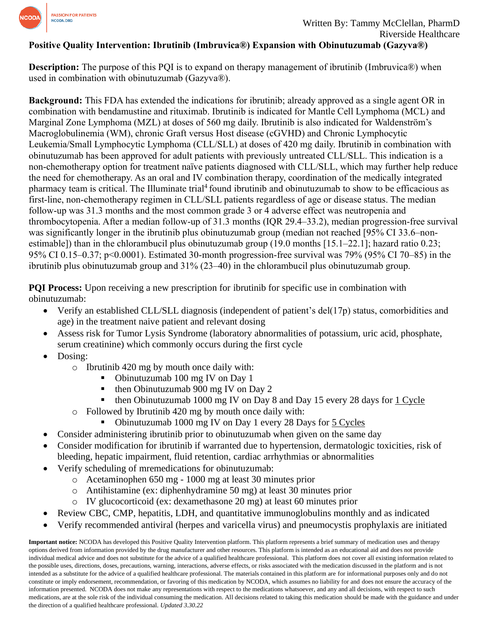

## **Positive Quality Intervention: Ibrutinib (Imbruvica®) Expansion with Obinutuzumab (Gazyva®)**

**Description:** The purpose of this PQI is to expand on therapy management of ibrutinib (Imbruvica®) when used in combination with obinutuzumab (Gazyva®).

**Background:** This FDA has extended the indications for ibrutinib; already approved as a single agent OR in combination with bendamustine and rituximab. Ibrutinib is indicated for Mantle Cell Lymphoma (MCL) and Marginal Zone Lymphoma (MZL) at doses of 560 mg daily. Ibrutinib is also indicated for Waldenström's Macroglobulinemia (WM), chronic Graft versus Host disease (cGVHD) and Chronic Lymphocytic Leukemia/Small Lymphocytic Lymphoma (CLL/SLL) at doses of 420 mg daily. Ibrutinib in combination with obinutuzumab has been approved for adult patients with previously untreated CLL/SLL. This indication is a non-chemotherapy option for treatment naïve patients diagnosed with CLL/SLL, which may further help reduce the need for chemotherapy. As an oral and IV combination therapy, coordination of the medically integrated pharmacy team is critical. The Illuminate trial<sup>4</sup> found ibrutinib and obinutuzumab to show to be efficacious as first-line, non-chemotherapy regimen in CLL/SLL patients regardless of age or disease status. The median follow-up was 31.3 months and the most common grade 3 or 4 adverse effect was neutropenia and thrombocytopenia. After a median follow-up of 31.3 months (IQR 29.4–33.2), median progression-free survival was significantly longer in the ibrutinib plus obinutuzumab group (median not reached [95% CI 33.6–nonestimable]) than in the chlorambucil plus obinutuzumab group (19.0 months [15.1–22.1]; hazard ratio 0.23; 95% CI 0.15–0.37; p<0.0001). Estimated 30-month progression-free survival was 79% (95% CI 70–85) in the ibrutinib plus obinutuzumab group and 31% (23–40) in the chlorambucil plus obinutuzumab group.

**PQI Process:** Upon receiving a new prescription for ibrutinib for specific use in combination with obinutuzumab:

- Verify an established CLL/SLL diagnosis (independent of patient's del(17p) status, comorbidities and age) in the treatment naive patient and relevant dosing
- Assess risk for Tumor Lysis Syndrome (laboratory abnormalities of potassium, uric acid, phosphate, serum creatinine) which commonly occurs during the first cycle
- Dosing:
	- o Ibrutinib 420 mg by mouth once daily with:
		- Obinutuzumab 100 mg IV on Day 1
			- then Obinutuzumab 900 mg IV on Day 2
			- then Obinutuzumab 1000 mg IV on Day 8 and Day 15 every 28 days for 1 Cycle
	- o Followed by Ibrutinib 420 mg by mouth once daily with:
		- Obinutuzumab 1000 mg IV on Day 1 every 28 Days for 5 Cycles
- Consider administering ibrutinib prior to obinutuzumab when given on the same day
- Consider modification for ibrutinib if warranted due to hypertension, dermatologic toxicities, risk of bleeding, hepatic impairment, fluid retention, cardiac arrhythmias or abnormalities
- Verify scheduling of mremedications for obinutuzumab:
	- o Acetaminophen 650 mg 1000 mg at least 30 minutes prior
	- o Antihistamine (ex: diphenhydramine 50 mg) at least 30 minutes prior
	- o IV glucocorticoid (ex: dexamethasone 20 mg) at least 60 minutes prior
- Review CBC, CMP, hepatitis, LDH, and quantitative immunoglobulins monthly and as indicated
- Verify recommended antiviral (herpes and varicella virus) and pneumocystis prophylaxis are initiated

**Important notice:** NCODA has developed this Positive Quality Intervention platform. This platform represents a brief summary of medication uses and therapy options derived from information provided by the drug manufacturer and other resources. This platform is intended as an educational aid and does not provide individual medical advice and does not substitute for the advice of a qualified healthcare professional. This platform does not cover all existing information related to the possible uses, directions, doses, precautions, warning, interactions, adverse effects, or risks associated with the medication discussed in the platform and is not intended as a substitute for the advice of a qualified healthcare professional. The materials contained in this platform are for informational purposes only and do not constitute or imply endorsement, recommendation, or favoring of this medication by NCODA, which assumes no liability for and does not ensure the accuracy of the information presented. NCODA does not make any representations with respect to the medications whatsoever, and any and all decisions, with respect to such medications, are at the sole risk of the individual consuming the medication. All decisions related to taking this medication should be made with the guidance and under the direction of a qualified healthcare professional. *Updated 3.30.22*